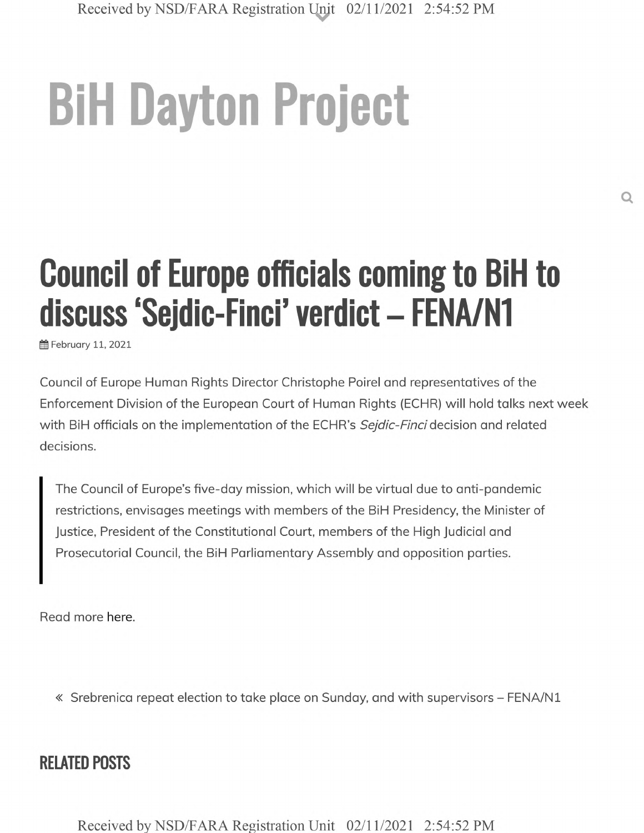## **BiH Dayton Project**

## **Council of Europe officials coming to BiH to discuss 'Sejdic-Finci' verdict - FENA/N1**

fffl February 11, 2021

Council of Europe Human Rights Director Christophe Poirel and representatives of the Enforcement Division of the European Court of Human Rights (ECHR) will hold talks next week with BiH officials on the implementation of the ECHR's *Sejdic-Finci* decision and related decisions.

The Council of Europe's five-day mission, which will be virtual due to anti-pandemic restrictions, envisages meetings with members of the BiH Presidency, the Minister of Justice, President of the Constitutional Court, members of the High Judicial and Prosecutorial Council, the BiH Parliamentary Assembly and opposition parties.

Read more here.

« Srebrenica repeat election to take place on Sunday, and with supervisors - FENA/N1

## **RELATED POSTS**

**Received by NSD/FARA Registration Unit 02/11/2021 2:54:52 PM**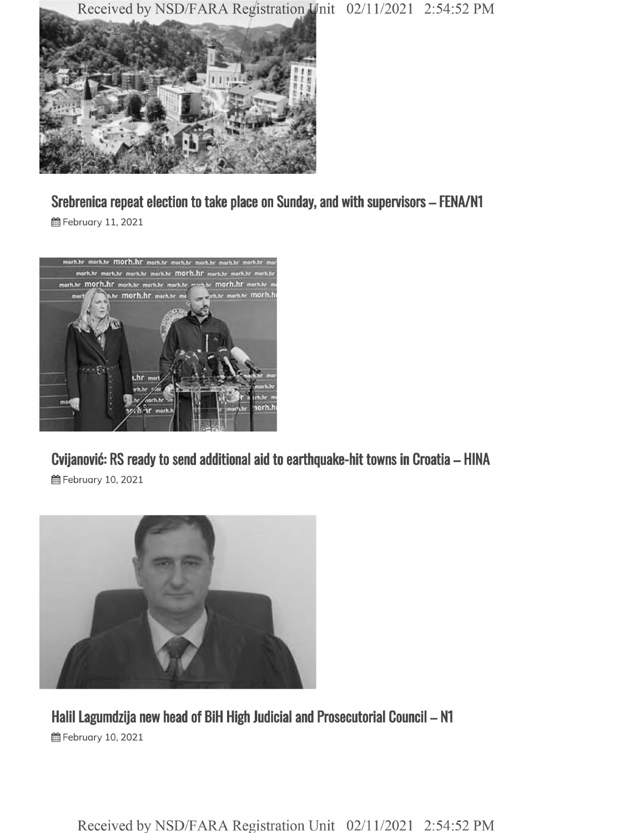**Received by NSD/FARA Registration Wnit 02/11/2021 2:54:52 PM**



**Srebrenica repeat election to take place on Sunday, and with supervisors - FENA/N1**

**@** February 11, 2021



**Cvijanovic: RS ready to send additional aid to earthquake-hit towns in Croatia - HINA**

**曲 February 10, 2021** 



**Halil Lagumdzija new head of BiH High Judicial and Prosecutorial Council - N1 普February 10, 2021** 

**Received by NSD/FARA Registration Unit 02/11/2021 2:54:52 PM**